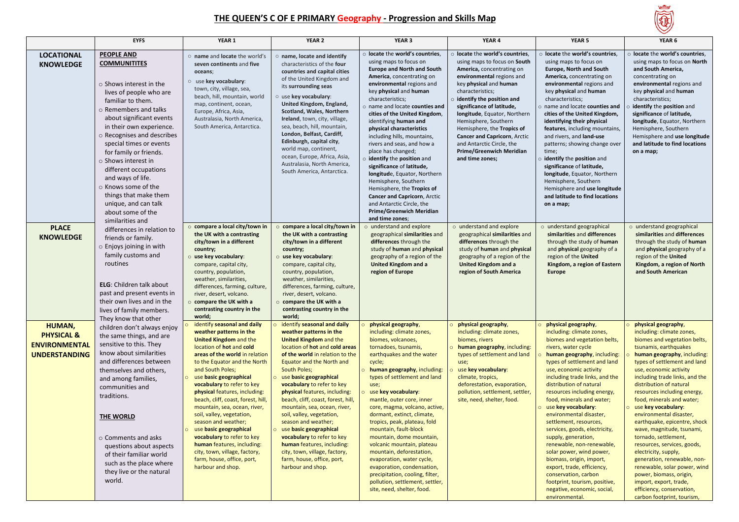

## **THE QUEEN'S C OF E PRIMARY Geography - Progression and Skills Map**

|                                                                                 | <b>EYFS</b>                                                                                                                                                                                                                                                                                                                                                                                                                                                                                     | YEAR 1                                                                                                                                                                                                                                                                                                                                                                                                                                                                                                                                                                                                 | YEAR <sub>2</sub>                                                                                                                                                                                                                                                                                                                                                                                                                                                                                                                                                                                        | YEAR <sub>3</sub>                                                                                                                                                                                                                                                                                                                                                                                                                                                                                                                                                                                                                                                                      | YEAR 4                                                                                                                                                                                                                                                                                                                                                                                                                                           | YEAR <sub>5</sub>                                                                                                                                                                                                                                                                                                                                                                                                                                                                                                                                                                                                                                                                          | YEAR 6                                                                                                                                                                                                                                                                                                                                                                                                                                                                                                                                                                                                                                                                                                   |
|---------------------------------------------------------------------------------|-------------------------------------------------------------------------------------------------------------------------------------------------------------------------------------------------------------------------------------------------------------------------------------------------------------------------------------------------------------------------------------------------------------------------------------------------------------------------------------------------|--------------------------------------------------------------------------------------------------------------------------------------------------------------------------------------------------------------------------------------------------------------------------------------------------------------------------------------------------------------------------------------------------------------------------------------------------------------------------------------------------------------------------------------------------------------------------------------------------------|----------------------------------------------------------------------------------------------------------------------------------------------------------------------------------------------------------------------------------------------------------------------------------------------------------------------------------------------------------------------------------------------------------------------------------------------------------------------------------------------------------------------------------------------------------------------------------------------------------|----------------------------------------------------------------------------------------------------------------------------------------------------------------------------------------------------------------------------------------------------------------------------------------------------------------------------------------------------------------------------------------------------------------------------------------------------------------------------------------------------------------------------------------------------------------------------------------------------------------------------------------------------------------------------------------|--------------------------------------------------------------------------------------------------------------------------------------------------------------------------------------------------------------------------------------------------------------------------------------------------------------------------------------------------------------------------------------------------------------------------------------------------|--------------------------------------------------------------------------------------------------------------------------------------------------------------------------------------------------------------------------------------------------------------------------------------------------------------------------------------------------------------------------------------------------------------------------------------------------------------------------------------------------------------------------------------------------------------------------------------------------------------------------------------------------------------------------------------------|----------------------------------------------------------------------------------------------------------------------------------------------------------------------------------------------------------------------------------------------------------------------------------------------------------------------------------------------------------------------------------------------------------------------------------------------------------------------------------------------------------------------------------------------------------------------------------------------------------------------------------------------------------------------------------------------------------|
| <b>LOCATIONAL</b><br><b>KNOWLEDGE</b>                                           | <b>PEOPLE AND</b><br><b>COMMUNITITES</b><br>$\circ$ Shows interest in the<br>lives of people who are<br>familiar to them.<br>$\circ$ Remembers and talks<br>about significant events<br>in their own experience.<br>$\circ$ Recognises and describes<br>special times or events<br>for family or friends.<br>○ Shows interest in<br>different occupations<br>and ways of life.<br>○ Knows some of the<br>things that make them<br>unique, and can talk<br>about some of the<br>similarities and | o name and locate the world's<br>seven continents and five<br>oceans;<br>$\circ$ use key vocabulary:<br>town, city, village, sea,<br>beach, hill, mountain, world<br>map, continent, ocean,<br>Europe, Africa, Asia,<br>Australasia, North America,<br>South America, Antarctica.<br>o compare a local city/town in                                                                                                                                                                                                                                                                                    | o name, locate and identify<br>characteristics of the four<br>countries and capital cities<br>of the United Kingdom and<br>its surrounding seas<br>$\circ$ use key vocabulary:<br>United Kingdom, England,<br>Scotland, Wales, Northern<br>Ireland, town, city, village,<br>sea, beach, hill, mountain,<br>London, Belfast, Cardiff,<br>Edinburgh, capital city,<br>world map, continent,<br>ocean, Europe, Africa, Asia,<br>Australasia, North America,<br>South America, Antarctica.                                                                                                                   | o locate the world's countries,<br>using maps to focus on<br><b>Europe and North and South</b><br>America, concentrating on<br>environmental regions and<br>key physical and human<br>characteristics;<br>o name and locate counties and<br>cities of the United Kingdom,<br>identifying human and<br>physical characteristics<br>including hills, mountains,<br>rivers and seas, and how a<br>place has changed;<br>o identify the position and<br>significance of latitude,<br>longitude, Equator, Northern<br>Hemisphere, Southern<br>Hemisphere, the Tropics of<br>Cancer and Capricorn, Arctic<br>and Antarctic Circle, the<br><b>Prime/Greenwich Meridian</b><br>and time zones; | locate the world's countries,<br>using maps to focus on South<br>America, concentrating on<br>environmental regions and<br>key physical and human<br>characteristics:<br>$\circ$ identify the position and<br>significance of latitude,<br>longitude, Equator, Northern<br>Hemisphere, Southern<br>Hemisphere, the Tropics of<br>Cancer and Capricorn, Arctic<br>and Antarctic Circle, the<br><b>Prime/Greenwich Meridian</b><br>and time zones; | o locate the world's countries,<br>using maps to focus on<br>Europe, North and South<br>America, concentrating on<br>environmental regions and<br>key physical and human<br>characteristics;<br>name and locate counties and<br>cities of the United Kingdom,<br>identifying their physical<br>features, including mountains,<br>and rivers, and land-use<br>patterns; showing change over<br>time;<br>identify the position and<br>significance of latitude,<br>longitude, Equator, Northern<br>Hemisphere, Southern<br>Hemisphere and use longitude<br>and latitude to find locations<br>on a map;                                                                                       | o locate the world's countries,<br>using maps to focus on North<br>and South America,<br>concentrating on<br>environmental regions and<br>key physical and human<br>characteristics;<br>identify the position and<br>significance of latitude,<br>longitude, Equator, Northern<br>Hemisphere, Southern<br>Hemisphere and use longitude<br>and latitude to find locations<br>on a map;                                                                                                                                                                                                                                                                                                                    |
| <b>PLACE</b><br><b>KNOWLEDGE</b>                                                | differences in relation to<br>friends or family.<br>$\circ$ Enjoys joining in with<br>family customs and<br>routines<br><b>ELG:</b> Children talk about<br>past and present events in<br>their own lives and in the<br>lives of family members.<br>They know that other                                                                                                                                                                                                                         | the UK with a contrasting<br>city/town in a different<br>country;<br>$\circ$ use key vocabulary:<br>compare, capital city,<br>country, population,<br>weather, similarities,<br>differences, farming, culture,<br>river, desert, volcano.<br>$\circ$ compare the UK with a<br>contrasting country in the<br>world;                                                                                                                                                                                                                                                                                     | o compare a local city/town in<br>the UK with a contrasting<br>city/town in a different<br>country;<br>$\circ$ use key vocabulary:<br>compare, capital city,<br>country, population,<br>weather, similarities,<br>differences, farming, culture,<br>river, desert, volcano.<br>o compare the UK with a<br>contrasting country in the<br>world;                                                                                                                                                                                                                                                           | o understand and explore<br>geographical similarities and<br>differences through the<br>study of human and physical<br>geography of a region of the<br><b>United Kingdom and a</b><br>region of Europe                                                                                                                                                                                                                                                                                                                                                                                                                                                                                 | o understand and explore<br>geographical similarities and<br>differences through the<br>study of human and physical<br>geography of a region of the<br><b>United Kingdom and a</b><br>region of South America                                                                                                                                                                                                                                    | o understand geographical<br>similarities and differences<br>through the study of human<br>and physical geography of a<br>region of the United<br>Kingdom, a region of Eastern<br>Europe                                                                                                                                                                                                                                                                                                                                                                                                                                                                                                   | o understand geographical<br>similarities and differences<br>through the study of human<br>and physical geography of a<br>region of the United<br>Kingdom, a region of North<br>and South American                                                                                                                                                                                                                                                                                                                                                                                                                                                                                                       |
| HUMAN,<br><b>PHYSICAL &amp;</b><br><b>ENVIRONMENTAL</b><br><b>UNDERSTANDING</b> | children don't always enjoy<br>the same things, and are<br>sensitive to this. They<br>know about similarities<br>and differences between<br>themselves and others,<br>and among families,<br>communities and<br>traditions.<br>THE WORLD<br>$\circ$ Comments and asks<br>questions about aspects<br>of their familiar world<br>such as the place where<br>they live or the natural<br>world.                                                                                                    | identify seasonal and daily<br>weather patterns in the<br><b>United Kingdom and the</b><br>location of hot and cold<br>areas of the world in relation<br>to the Equator and the North<br>and South Poles;<br>use basic geographical<br>vocabulary to refer to key<br>physical features, including:<br>beach, cliff, coast, forest, hill,<br>mountain, sea, ocean, river,<br>soil, valley, vegetation,<br>season and weather;<br>use basic geographical<br>vocabulary to refer to key<br>human features, including:<br>city, town, village, factory,<br>farm, house, office, port,<br>harbour and shop. | identify seasonal and daily<br>weather patterns in the<br><b>United Kingdom and the</b><br>location of hot and cold areas<br>of the world in relation to the<br>Equator and the North and<br>South Poles;<br>use basic geographical<br>vocabulary to refer to key<br>physical features, including:<br>beach, cliff, coast, forest, hill,<br>mountain, sea, ocean, river,<br>soil, valley, vegetation,<br>season and weather;<br>o use basic geographical<br>vocabulary to refer to key<br>human features, including:<br>city, town, village, factory,<br>farm, house, office, port,<br>harbour and shop. | physical geography,<br>including: climate zones,<br>biomes, volcanoes,<br>tornadoes, tsunamis,<br>earthquakes and the water<br>cycle;<br>human geography, including:<br>types of settlement and land<br>use;<br>use key vocabulary:<br>mantle, outer core, inner<br>core, magma, volcano, active,<br>dormant, extinct, climate,<br>tropics, peak, plateau, fold<br>mountain, fault-block<br>mountain, dome mountain,<br>volcanic mountain, plateau<br>mountain, deforestation,<br>evaporation, water cycle,<br>evaporation, condensation,<br>precipitation, cooling, filter,<br>pollution, settlement, settler,<br>site, need, shelter, food.                                          | physical geography,<br>including: climate zones,<br>biomes, rivers<br>human geography, including:<br>types of settlement and land<br>use;<br>use key vocabulary:<br>climate, tropics,<br>deforestation, evaporation,<br>pollution, settlement, settler,<br>site, need, shelter, food.                                                                                                                                                            | physical geography,<br>including: climate zones,<br>biomes and vegetation belts,<br>rivers, water cycle<br>human geography, including:<br>types of settlement and land<br>use, economic activity<br>including trade links, and the<br>distribution of natural<br>resources including energy,<br>food, minerals and water;<br>use key vocabulary:<br>environmental disaster,<br>settlement, resources,<br>services, goods, electricity,<br>supply, generation,<br>renewable, non-renewable,<br>solar power, wind power,<br>biomass, origin, import,<br>export, trade, efficiency,<br>conservation, carbon<br>footprint, tourism, positive,<br>negative, economic, social,<br>environmental. | physical geography,<br>including: climate zones,<br>biomes and vegetation belts,<br>tsunamis, earthquakes<br>human geography, including:<br>types of settlement and land<br>use, economic activity<br>including trade links, and the<br>distribution of natural<br>resources including energy,<br>food, minerals and water;<br>use key vocabulary:<br>environmental disaster,<br>earthquake, epicentre, shock<br>wave, magnitude, tsunami,<br>tornado, settlement,<br>resources, services, goods,<br>electricity, supply,<br>generation, renewable, non-<br>renewable, solar power, wind<br>power, biomass, origin,<br>import, export, trade,<br>efficiency, conservation,<br>carbon footprint, tourism, |